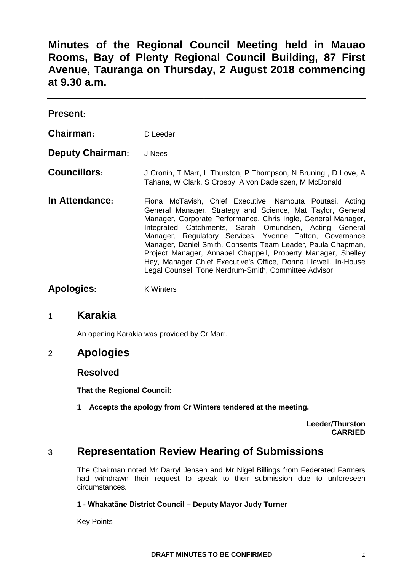**Minutes of the Regional Council Meeting held in Mauao Rooms, Bay of Plenty Regional Council Building, 87 First Avenue, Tauranga on Thursday, 2 August 2018 commencing at 9.30 a.m.**

| <b>Present:</b>         |                                                                                                                                                                                                                                                                                                                                                                                                                                                                                                                                                                      |
|-------------------------|----------------------------------------------------------------------------------------------------------------------------------------------------------------------------------------------------------------------------------------------------------------------------------------------------------------------------------------------------------------------------------------------------------------------------------------------------------------------------------------------------------------------------------------------------------------------|
| Chairman:               | D Leeder                                                                                                                                                                                                                                                                                                                                                                                                                                                                                                                                                             |
| <b>Deputy Chairman:</b> | J Nees                                                                                                                                                                                                                                                                                                                                                                                                                                                                                                                                                               |
| <b>Councillors:</b>     | J Cronin, T Marr, L Thurston, P Thompson, N Bruning, D Love, A<br>Tahana, W Clark, S Crosby, A von Dadelszen, M McDonald                                                                                                                                                                                                                                                                                                                                                                                                                                             |
| In Attendance:          | Fiona McTavish, Chief Executive, Namouta Poutasi, Acting<br>General Manager, Strategy and Science, Mat Taylor, General<br>Manager, Corporate Performance, Chris Ingle, General Manager,<br>Integrated Catchments, Sarah Omundsen, Acting General<br>Manager, Regulatory Services, Yvonne Tatton, Governance<br>Manager, Daniel Smith, Consents Team Leader, Paula Chapman,<br>Project Manager, Annabel Chappell, Property Manager, Shelley<br>Hey, Manager Chief Executive's Office, Donna Llewell, In-House<br>Legal Counsel, Tone Nerdrum-Smith, Committee Advisor |
| <b>Apologies:</b>       | <b>K</b> Winters                                                                                                                                                                                                                                                                                                                                                                                                                                                                                                                                                     |

## 1 **Karakia**

An opening Karakia was provided by Cr Marr.

## 2 **Apologies**

**Resolved**

**That the Regional Council:**

**1 Accepts the apology from Cr Winters tendered at the meeting.**

**Leeder/Thurston CARRIED**

# 3 **Representation Review Hearing of Submissions**

The Chairman noted Mr Darryl Jensen and Mr Nigel Billings from Federated Farmers had withdrawn their request to speak to their submission due to unforeseen circumstances.

#### **1 - Whakatāne District Council – Deputy Mayor Judy Turner**

Key Points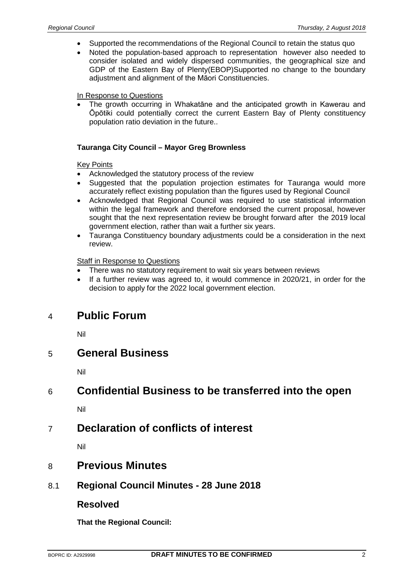- Supported the recommendations of the Regional Council to retain the status quo
- Noted the population-based approach to representation however also needed to consider isolated and widely dispersed communities, the geographical size and GDP of the Eastern Bay of Plenty(EBOP)Supported no change to the boundary adjustment and alignment of the Māori Constituencies.

#### In Response to Questions

• The growth occurring in Whakatāne and the anticipated growth in Kawerau and Ōpōtiki could potentially correct the current Eastern Bay of Plenty constituency population ratio deviation in the future..

#### **Tauranga City Council – Mayor Greg Brownless**

#### Key Points

- Acknowledged the statutory process of the review
- Suggested that the population projection estimates for Tauranga would more accurately reflect existing population than the figures used by Regional Council
- Acknowledged that Regional Council was required to use statistical information within the legal framework and therefore endorsed the current proposal, however sought that the next representation review be brought forward after the 2019 local government election, rather than wait a further six years.
- Tauranga Constituency boundary adjustments could be a consideration in the next review.

#### Staff in Response to Questions

- There was no statutory requirement to wait six years between reviews
- If a further review was agreed to, it would commence in 2020/21, in order for the decision to apply for the 2022 local government election.

# 4 **Public Forum**

Nil

## 5 **General Business**

Nil

# 6 **Confidential Business to be transferred into the open**

Nil

# 7 **Declaration of conflicts of interest**

Nil

## 8 **Previous Minutes**

8.1 **Regional Council Minutes - 28 June 2018**

## **Resolved**

**That the Regional Council:**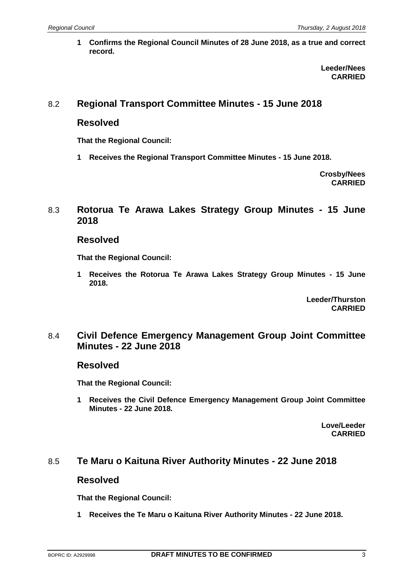**1 Confirms the Regional Council Minutes of 28 June 2018, as a true and correct record.**

> **Leeder/Nees CARRIED**

## 8.2 **Regional Transport Committee Minutes - 15 June 2018**

#### **Resolved**

**That the Regional Council:**

**1 Receives the Regional Transport Committee Minutes - 15 June 2018.**

**Crosby/Nees CARRIED**

## 8.3 **Rotorua Te Arawa Lakes Strategy Group Minutes - 15 June 2018**

#### **Resolved**

**That the Regional Council:**

**1 Receives the Rotorua Te Arawa Lakes Strategy Group Minutes - 15 June 2018.**

> **Leeder/Thurston CARRIED**

## 8.4 **Civil Defence Emergency Management Group Joint Committee Minutes - 22 June 2018**

#### **Resolved**

**That the Regional Council:**

**1 Receives the Civil Defence Emergency Management Group Joint Committee Minutes - 22 June 2018.**

> **Love/Leeder CARRIED**

# 8.5 **Te Maru o Kaituna River Authority Minutes - 22 June 2018**

# **Resolved**

**That the Regional Council:**

**1 Receives the Te Maru o Kaituna River Authority Minutes - 22 June 2018.**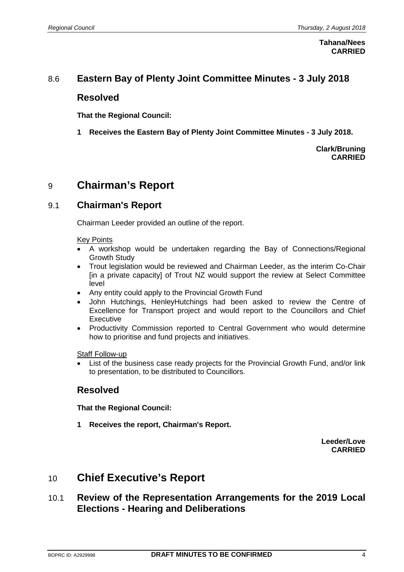**Tahana/Nees CARRIED**

#### 8.6 **Eastern Bay of Plenty Joint Committee Minutes - 3 July 2018**

#### **Resolved**

**That the Regional Council:**

**1 Receives the Eastern Bay of Plenty Joint Committee Minutes - 3 July 2018.**

**Clark/Bruning CARRIED**

# 9 **Chairman's Report**

## 9.1 **Chairman's Report**

Chairman Leeder provided an outline of the report.

#### Key Points

- A workshop would be undertaken regarding the Bay of Connections/Regional Growth Study
- Trout legislation would be reviewed and Chairman Leeder, as the interim Co-Chair [in a private capacity] of Trout NZ would support the review at Select Committee level
- Any entity could apply to the Provincial Growth Fund
- John Hutchings, HenleyHutchings had been asked to review the Centre of Excellence for Transport project and would report to the Councillors and Chief **Executive**
- Productivity Commission reported to Central Government who would determine how to prioritise and fund projects and initiatives.

Staff Follow-up

List of the business case ready projects for the Provincial Growth Fund, and/or link to presentation, to be distributed to Councillors.

## **Resolved**

**That the Regional Council:**

**1 Receives the report, Chairman's Report.**

**Leeder/Love CARRIED**

# 10 **Chief Executive's Report**

## 10.1 **Review of the Representation Arrangements for the 2019 Local Elections - Hearing and Deliberations**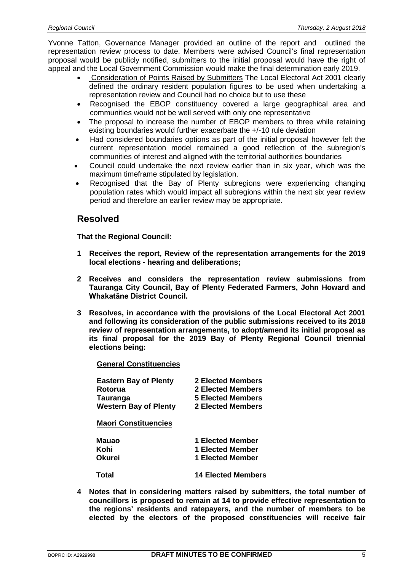Yvonne Tatton, Governance Manager provided an outline of the report and outlined the representation review process to date. Members were advised Council's final representation proposal would be publicly notified, submitters to the initial proposal would have the right of appeal and the Local Government Commission would make the final determination early 2019.

- Consideration of Points Raised by Submitters The Local Electoral Act 2001 clearly defined the ordinary resident population figures to be used when undertaking a representation review and Council had no choice but to use these
- Recognised the EBOP constituency covered a large geographical area and communities would not be well served with only one representative
- The proposal to increase the number of EBOP members to three while retaining existing boundaries would further exacerbate the +/-10 rule deviation
- Had considered boundaries options as part of the initial proposal however felt the current representation model remained a good reflection of the subregion's communities of interest and aligned with the territorial authorities boundaries
- Council could undertake the next review earlier than in six year, which was the maximum timeframe stipulated by legislation.
- Recognised that the Bay of Plenty subregions were experiencing changing population rates which would impact all subregions within the next six year review period and therefore an earlier review may be appropriate.

#### **Resolved**

**That the Regional Council:**

- **1 Receives the report, Review of the representation arrangements for the 2019 local elections - hearing and deliberations;**
- **2 Receives and considers the representation review submissions from Tauranga City Council, Bay of Plenty Federated Farmers, John Howard and Whakatāne District Council.**
- **3 Resolves, in accordance with the provisions of the Local Electoral Act 2001 and following its consideration of the public submissions received to its 2018 review of representation arrangements, to adopt/amend its initial proposal as its final proposal for the 2019 Bay of Plenty Regional Council triennial elections being:**

#### **General Constituencies**

| <b>Eastern Bay of Plenty</b><br>Rotorua<br><b>Tauranga</b><br><b>Western Bay of Plenty</b><br><b>Maori Constituencies</b> | <b>2 Elected Members</b><br>2 Elected Members<br>5 Elected Members<br>2 Elected Members |
|---------------------------------------------------------------------------------------------------------------------------|-----------------------------------------------------------------------------------------|
| <b>Mauao</b>                                                                                                              | 1 Elected Member                                                                        |
| Kohi                                                                                                                      | 1 Elected Member                                                                        |
| Okurei                                                                                                                    | <b>1 Elected Member</b>                                                                 |

**Total 14 Elected Members**

**4 Notes that in considering matters raised by submitters, the total number of councillors is proposed to remain at 14 to provide effective representation to the regions' residents and ratepayers, and the number of members to be elected by the electors of the proposed constituencies will receive fair**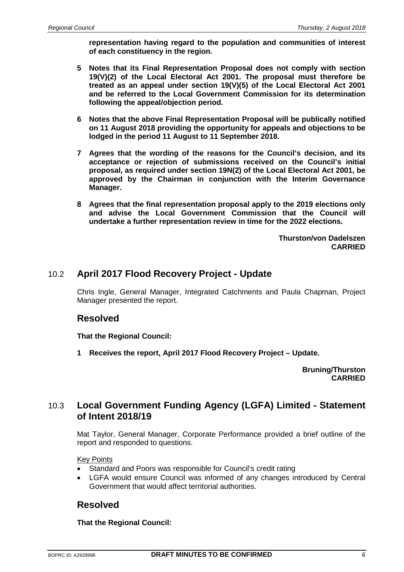**representation having regard to the population and communities of interest of each constituency in the region.**

- **5 Notes that its Final Representation Proposal does not comply with section 19(V)(2) of the Local Electoral Act 2001. The proposal must therefore be treated as an appeal under section 19(V)(5) of the Local Electoral Act 2001 and be referred to the Local Government Commission for its determination following the appeal/objection period.**
- **6 Notes that the above Final Representation Proposal will be publically notified on 11 August 2018 providing the opportunity for appeals and objections to be lodged in the period 11 August to 11 September 2018.**
- **7 Agrees that the wording of the reasons for the Council's decision, and its acceptance or rejection of submissions received on the Council's initial proposal, as required under section 19N(2) of the Local Electoral Act 2001, be approved by the Chairman in conjunction with the Interim Governance Manager.**
- **8 Agrees that the final representation proposal apply to the 2019 elections only and advise the Local Government Commission that the Council will undertake a further representation review in time for the 2022 elections.**

**Thurston/von Dadelszen CARRIED**

#### 10.2 **April 2017 Flood Recovery Project - Update**

Chris Ingle, General Manager, Integrated Catchments and Paula Chapman, Project Manager presented the report.

#### **Resolved**

**That the Regional Council:**

**1 Receives the report, April 2017 Flood Recovery Project – Update.**

**Bruning/Thurston CARRIED**

## 10.3 **Local Government Funding Agency (LGFA) Limited - Statement of Intent 2018/19**

Mat Taylor, General Manager, Corporate Performance provided a brief outline of the report and responded to questions.

#### Key Points

- Standard and Poors was responsible for Council's credit rating
- LGFA would ensure Council was informed of any changes introduced by Central Government that would affect territorial authorities.

## **Resolved**

**That the Regional Council:**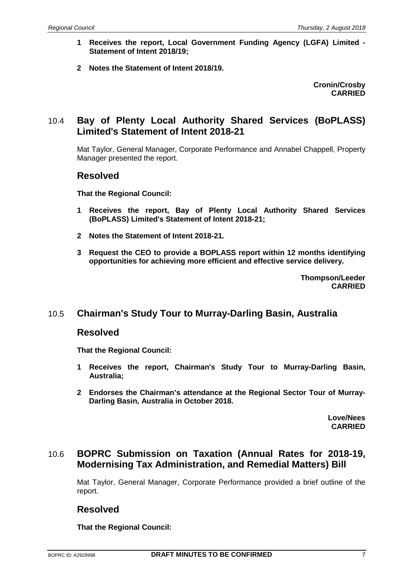- **1 Receives the report, Local Government Funding Agency (LGFA) Limited - Statement of Intent 2018/19;**
- **2 Notes the Statement of Intent 2018/19.**

**Cronin/Crosby CARRIED**

## 10.4 **Bay of Plenty Local Authority Shared Services (BoPLASS) Limited's Statement of Intent 2018-21**

Mat Taylor, General Manager, Corporate Performance and Annabel Chappell, Property Manager presented the report.

#### **Resolved**

**That the Regional Council:**

- **1 Receives the report, Bay of Plenty Local Authority Shared Services (BoPLASS) Limited's Statement of Intent 2018-21;**
- **2 Notes the Statement of Intent 2018-21.**
- **3 Request the CEO to provide a BOPLASS report within 12 months identifying opportunities for achieving more efficient and effective service delivery.**

**Thompson/Leeder CARRIED**

## 10.5 **Chairman's Study Tour to Murray-Darling Basin, Australia**

#### **Resolved**

**That the Regional Council:**

- **1 Receives the report, Chairman's Study Tour to Murray-Darling Basin, Australia;**
- **2 Endorses the Chairman's attendance at the Regional Sector Tour of Murray-Darling Basin, Australia in October 2018.**

**Love/Nees CARRIED**

## 10.6 **BOPRC Submission on Taxation (Annual Rates for 2018-19, Modernising Tax Administration, and Remedial Matters) Bill**

Mat Taylor, General Manager, Corporate Performance provided a brief outline of the report.

## **Resolved**

**That the Regional Council:**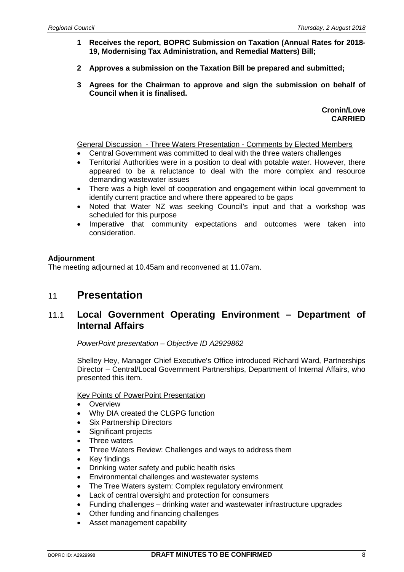- **1 Receives the report, BOPRC Submission on Taxation (Annual Rates for 2018- 19, Modernising Tax Administration, and Remedial Matters) Bill;**
- **2 Approves a submission on the Taxation Bill be prepared and submitted;**
- **3 Agrees for the Chairman to approve and sign the submission on behalf of Council when it is finalised.**

**Cronin/Love CARRIED**

General Discussion - Three Waters Presentation - Comments by Elected Members

- Central Government was committed to deal with the three waters challenges
- Territorial Authorities were in a position to deal with potable water. However, there appeared to be a reluctance to deal with the more complex and resource demanding wastewater issues
- There was a high level of cooperation and engagement within local government to identify current practice and where there appeared to be gaps
- Noted that Water NZ was seeking Council's input and that a workshop was scheduled for this purpose
- Imperative that community expectations and outcomes were taken into consideration.

#### **Adjournment**

The meeting adjourned at 10.45am and reconvened at 11.07am.

# 11 **Presentation**

## 11.1 **Local Government Operating Environment – Department of Internal Affairs**

*PowerPoint presentation – Objective ID A2929862*

Shelley Hey, Manager Chief Executive's Office introduced Richard Ward, Partnerships Director – Central/Local Government Partnerships, Department of Internal Affairs, who presented this item.

**Key Points of PowerPoint Presentation** 

- **Overview**
- Why DIA created the CLGPG function
- Six Partnership Directors
- Significant projects
- Three waters
- Three Waters Review: Challenges and ways to address them
- Key findings
- Drinking water safety and public health risks
- Environmental challenges and wastewater systems
- The Tree Waters system: Complex regulatory environment
- Lack of central oversight and protection for consumers
- Funding challenges drinking water and wastewater infrastructure upgrades
- Other funding and financing challenges
- Asset management capability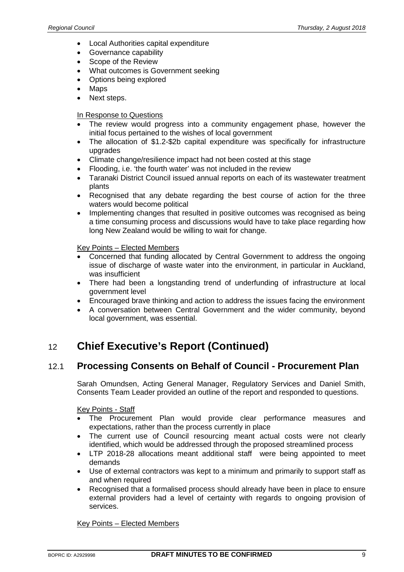- Local Authorities capital expenditure
- Governance capability
- Scope of the Review
- What outcomes is Government seeking
- Options being explored
- Maps
- Next steps.

#### In Response to Questions

- The review would progress into a community engagement phase, however the initial focus pertained to the wishes of local government
- The allocation of \$1.2-\$2b capital expenditure was specifically for infrastructure upgrades
- Climate change/resilience impact had not been costed at this stage
- Flooding, i.e. 'the fourth water' was not included in the review
- Taranaki District Council issued annual reports on each of its wastewater treatment plants
- Recognised that any debate regarding the best course of action for the three waters would become political
- Implementing changes that resulted in positive outcomes was recognised as being a time consuming process and discussions would have to take place regarding how long New Zealand would be willing to wait for change.

Key Points – Elected Members

- Concerned that funding allocated by Central Government to address the ongoing issue of discharge of waste water into the environment, in particular in Auckland, was insufficient
- There had been a longstanding trend of underfunding of infrastructure at local government level
- Encouraged brave thinking and action to address the issues facing the environment
- A conversation between Central Government and the wider community, beyond local government, was essential.

# 12 **Chief Executive's Report (Continued)**

## 12.1 **Processing Consents on Behalf of Council - Procurement Plan**

Sarah Omundsen, Acting General Manager, Regulatory Services and Daniel Smith, Consents Team Leader provided an outline of the report and responded to questions.

Key Points - Staff

- The Procurement Plan would provide clear performance measures and expectations, rather than the process currently in place
- The current use of Council resourcing meant actual costs were not clearly identified, which would be addressed through the proposed streamlined process
- LTP 2018-28 allocations meant additional staff were being appointed to meet demands
- Use of external contractors was kept to a minimum and primarily to support staff as and when required
- Recognised that a formalised process should already have been in place to ensure external providers had a level of certainty with regards to ongoing provision of services.

Key Points – Elected Members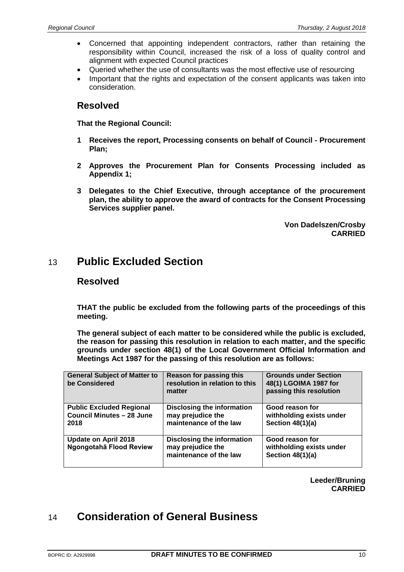- Concerned that appointing independent contractors, rather than retaining the responsibility within Council, increased the risk of a loss of quality control and alignment with expected Council practices
- Queried whether the use of consultants was the most effective use of resourcing
- Important that the rights and expectation of the consent applicants was taken into consideration.

#### **Resolved**

**That the Regional Council:**

- **1 Receives the report, Processing consents on behalf of Council - Procurement Plan;**
- **2 Approves the Procurement Plan for Consents Processing included as Appendix 1;**
- **3 Delegates to the Chief Executive, through acceptance of the procurement plan, the ability to approve the award of contracts for the Consent Processing Services supplier panel.**

**Von Dadelszen/Crosby CARRIED**

# 13 **Public Excluded Section**

#### **Resolved**

**THAT the public be excluded from the following parts of the proceedings of this meeting.**

**The general subject of each matter to be considered while the public is excluded, the reason for passing this resolution in relation to each matter, and the specific grounds under section 48(1) of the Local Government Official Information and Meetings Act 1987 for the passing of this resolution are as follows:**

| <b>General Subject of Matter to</b><br>be Considered                        | Reason for passing this<br>resolution in relation to this<br>matter              | <b>Grounds under Section</b><br>48(1) LGOIMA 1987 for<br>passing this resolution |
|-----------------------------------------------------------------------------|----------------------------------------------------------------------------------|----------------------------------------------------------------------------------|
| <b>Public Excluded Regional</b><br><b>Council Minutes - 28 June</b><br>2018 | <b>Disclosing the information</b><br>may prejudice the<br>maintenance of the law | Good reason for<br>withholding exists under<br>Section 48(1)(a)                  |
| Update on April 2018<br>Ngongotahā Flood Review                             | <b>Disclosing the information</b><br>may prejudice the<br>maintenance of the law | Good reason for<br>withholding exists under<br>Section 48(1)(a)                  |

**Leeder/Bruning CARRIED**

# 14 **Consideration of General Business**